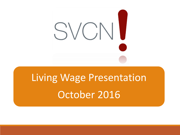

# Living Wage Presentation October 2016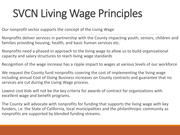# SVCN Living Wage Principles

Our nonprofit sector supports the concept of the Living Wage

Nonprofits deliver services in partnership with the County impacting youth, seniors, children and families providing housing, health, and basic human services etc.

Nonprofits need a phased-in approach to the living wage to allow us to build organizational capacity and salary structures to reach living wage standards

Recognition of the wage increase has a ripple impact to wages at various levels of our workforce

We request the County fund nonprofits covering the cost of implementing the living wage including annual Cost of Doing Business increases on County contracts and guarantee that no services are cut during the Living Wage process.

Lowest cost bids will not be the key criteria for awards of contract for organizations with excellent wage and benefit programs.

The County will advocate with nonprofits for funding that supports the living wage with key funders, i.e. the State of California, local municipalities and the philanthropic community as nonprofits are supported by blended funding streams.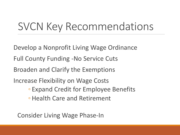### SVCN Key Recommendations

Develop a Nonprofit Living Wage Ordinance Full County Funding -No Service Cuts Broaden and Clarify the Exemptions Increase Flexibility on Wage Costs ◦ Expand Credit for Employee Benefits ◦ Health Care and Retirement

Consider Living Wage Phase-In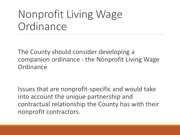### Nonprofit Living Wage **Ordinance**

The County should consider developing a companion ordinance - the Nonprofit Living Wage **Ordinance** 

Issues that are nonprofit-specific and would take into account the unique partnership and contractual relationship the County has with their nonprofit contractors.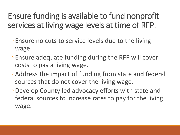#### Ensure funding is available to fund nonprofit services at living wage levels at time of RFP.

- Ensure no cuts to service levels due to the living wage.
- Ensure adequate funding during the RFP will cover costs to pay a living wage.
- Address the impact of funding from state and federal sources that do not cover the living wage.
- Develop County led advocacy efforts with state and federal sources to increase rates to pay for the living wage.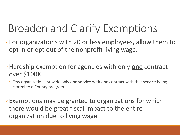## Broaden and Clarify Exemptions

- For organizations with 20 or less employees, allow them to opt in or opt out of the nonprofit living wage,
- Hardship exemption for agencies with only **one** contract over \$100K.
	- Few organizations provide only one service with one contract with that service being central to a County program.
- Exemptions may be granted to organizations for which there would be great fiscal impact to the entire organization due to living wage.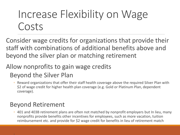### Increase Flexibility on Wage Costs

Consider wage credits for organizations that provide their staff with combinations of additional benefits above and beyond the silver plan or matching retirement

#### Allow nonprofits to gain wage credits Beyond the Silver Plan

◦ Reward organizations that offer their staff health coverage above the required Silver Plan with \$2 of wage credit for higher health plan coverage (e.g. Gold or Platinum Plan, dependent coverage).

#### Beyond Retirement

◦ 401 and 403B retirement plans are often not matched by nonprofit employers but In lieu, many nonprofits provide benefits other incentives for employees, such as more vacation, tuition reimbursement etc. and provide for \$2 wage credit for benefits in lieu of retirement match